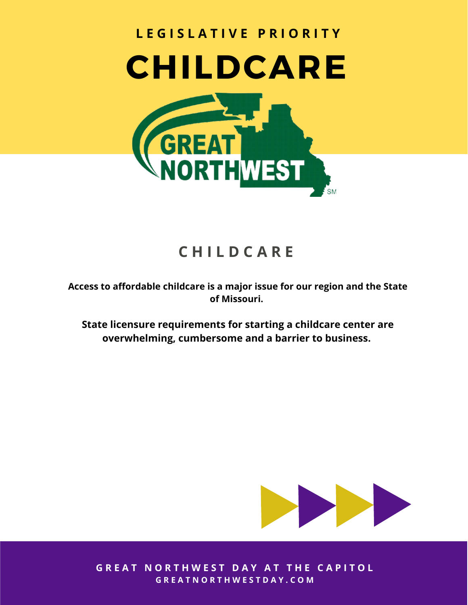

## **C H I L D C A R E**

**Access to affordable childcare is a major issue for our region and the State of Missouri.**

**State licensure requirements for starting a childcare center are overwhelming, cumbersome and a barrier to business.**



**GREAT NORTHWEST DAY AT THE CAPITOL** G R E A T N O R T H W E S T D A Y . C O M